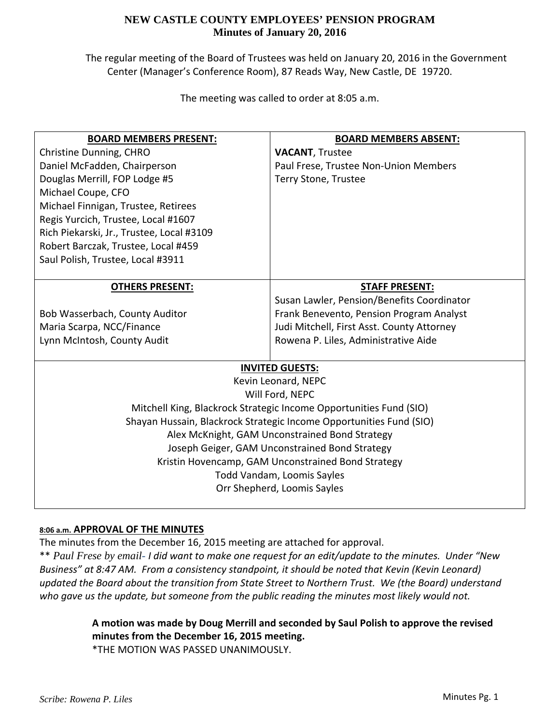The regular meeting of the Board of Trustees was held on January 20, 2016 in the Government Center (Manager's Conference Room), 87 Reads Way, New Castle, DE 19720.

The meeting was called to order at 8:05 a.m.

| <b>BOARD MEMBERS PRESENT:</b>                                       | <b>BOARD MEMBERS ABSENT:</b>               |  |  |
|---------------------------------------------------------------------|--------------------------------------------|--|--|
| Christine Dunning, CHRO                                             | <b>VACANT, Trustee</b>                     |  |  |
| Daniel McFadden, Chairperson                                        | Paul Frese, Trustee Non-Union Members      |  |  |
| Douglas Merrill, FOP Lodge #5                                       | Terry Stone, Trustee                       |  |  |
| Michael Coupe, CFO                                                  |                                            |  |  |
| Michael Finnigan, Trustee, Retirees                                 |                                            |  |  |
| Regis Yurcich, Trustee, Local #1607                                 |                                            |  |  |
| Rich Piekarski, Jr., Trustee, Local #3109                           |                                            |  |  |
| Robert Barczak, Trustee, Local #459                                 |                                            |  |  |
| Saul Polish, Trustee, Local #3911                                   |                                            |  |  |
|                                                                     |                                            |  |  |
| <b>OTHERS PRESENT:</b>                                              | <b>STAFF PRESENT:</b>                      |  |  |
|                                                                     | Susan Lawler, Pension/Benefits Coordinator |  |  |
| Bob Wasserbach, County Auditor                                      | Frank Benevento, Pension Program Analyst   |  |  |
| Maria Scarpa, NCC/Finance                                           | Judi Mitchell, First Asst. County Attorney |  |  |
| Lynn McIntosh, County Audit                                         | Rowena P. Liles, Administrative Aide       |  |  |
|                                                                     |                                            |  |  |
| <b>INVITED GUESTS:</b>                                              |                                            |  |  |
| Kevin Leonard, NEPC                                                 |                                            |  |  |
| Will Ford, NEPC                                                     |                                            |  |  |
| Mitchell King, Blackrock Strategic Income Opportunities Fund (SIO)  |                                            |  |  |
| Shayan Hussain, Blackrock Strategic Income Opportunities Fund (SIO) |                                            |  |  |
| Alex McKnight, GAM Unconstrained Bond Strategy                      |                                            |  |  |
| Joseph Geiger, GAM Unconstrained Bond Strategy                      |                                            |  |  |
| Kristin Hovencamp, GAM Unconstrained Bond Strategy                  |                                            |  |  |
| <b>Todd Vandam, Loomis Sayles</b>                                   |                                            |  |  |
| Orr Shepherd, Loomis Sayles                                         |                                            |  |  |
|                                                                     |                                            |  |  |

## **8:06 a.m. APPROVAL OF THE MINUTES**

The minutes from the December 16, 2015 meeting are attached for approval.

\*\* Paul Frese by email- I did want to make one request for an edit/update to the minutes. Under "New *Business" at 8:47 AM. From a consistency standpoint, it should be noted that Kevin (Kevin Leonard) updated the Board about the transition from State Street to Northern Trust. We (the Board) understand who gave us the update, but someone from the public reading the minutes most likely would not.* 

# **A motion was made by Doug Merrill and seconded by Saul Polish to approve the revised minutes from the December 16, 2015 meeting.**

\*THE MOTION WAS PASSED UNANIMOUSLY.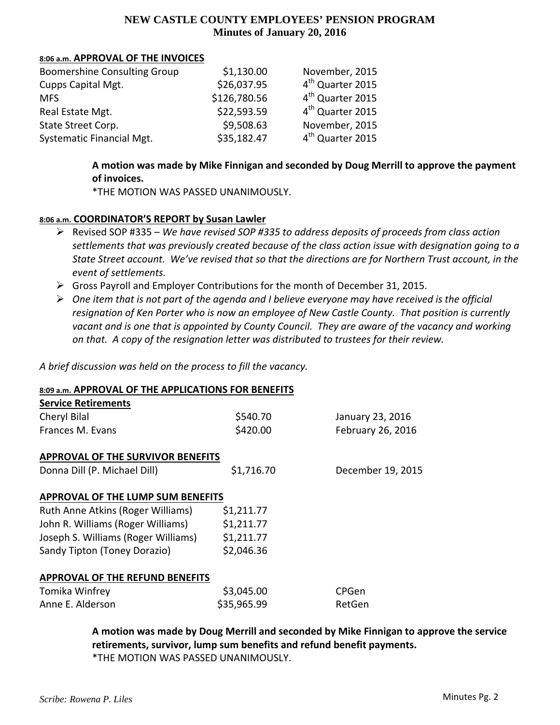#### **8:06 a.m. APPROVAL OF THE INVOICES**

| <b>Boomershine Consulting Group</b> | \$1,130.00   | November, 2015               |
|-------------------------------------|--------------|------------------------------|
| Cupps Capital Mgt.                  | \$26,037.95  | 4 <sup>th</sup> Quarter 2015 |
| <b>MFS</b>                          | \$126,780.56 | 4 <sup>th</sup> Quarter 2015 |
| Real Estate Mgt.                    | \$22,593.59  | 4 <sup>th</sup> Quarter 2015 |
| State Street Corp.                  | \$9,508.63   | November, 2015               |
| Systematic Financial Mgt.           | \$35,182.47  | 4 <sup>th</sup> Quarter 2015 |

# **A motion was made by Mike Finnigan and seconded by Doug Merrill to approve the payment of invoices.**

\*THE MOTION WAS PASSED UNANIMOUSLY.

## **8:06 a.m. COORDINATOR'S REPORT by Susan Lawler**

- Revised SOP #335 *We have revised SOP #335 to address deposits of proceeds from class action settlements that was previously created because of the class action issue with designation going to a* State Street account. We've revised that so that the directions are for Northern Trust account, in the *event of settlements.*
- Gross Payroll and Employer Contributions for the month of December 31, 2015.
- $\triangleright$  One item that is not part of the agenda and I believe everyone may have received is the official *resignation of Ken Porter who is now an employee of New Castle County. That position is currently* vacant and is one that is appointed by County Council. They are aware of the vacancy and working *on that. A copy of the resignation letter was distributed to trustees for their review.*

*A brief discussion was held on the process to fill the vacancy.*

## **8:09 a.m. APPROVAL OF THE APPLICATIONS FOR BENEFITS**

| <b>Service Retirements</b>               |             |                   |  |
|------------------------------------------|-------------|-------------------|--|
| Cheryl Bilal                             | \$540.70    | January 23, 2016  |  |
| Frances M. Evans                         | \$420.00    | February 26, 2016 |  |
| <b>APPROVAL OF THE SURVIVOR BENEFITS</b> |             |                   |  |
| Donna Dill (P. Michael Dill)             | \$1,716.70  | December 19, 2015 |  |
| <b>APPROVAL OF THE LUMP SUM BENEFITS</b> |             |                   |  |
| Ruth Anne Atkins (Roger Williams)        | \$1,211.77  |                   |  |
| John R. Williams (Roger Williams)        | \$1,211.77  |                   |  |
| Joseph S. Williams (Roger Williams)      | \$1,211.77  |                   |  |
| Sandy Tipton (Toney Dorazio)             | \$2,046.36  |                   |  |
| <b>APPROVAL OF THE REFUND BENEFITS</b>   |             |                   |  |
| Tomika Winfrey                           | \$3,045.00  | <b>CPGen</b>      |  |
| Anne F. Alderson                         | \$35,965.99 | RetGen            |  |

**A motion was made by Doug Merrill and seconded by Mike Finnigan to approve the service retirements, survivor, lump sum benefits and refund benefit payments.** \*THE MOTION WAS PASSED UNANIMOUSLY.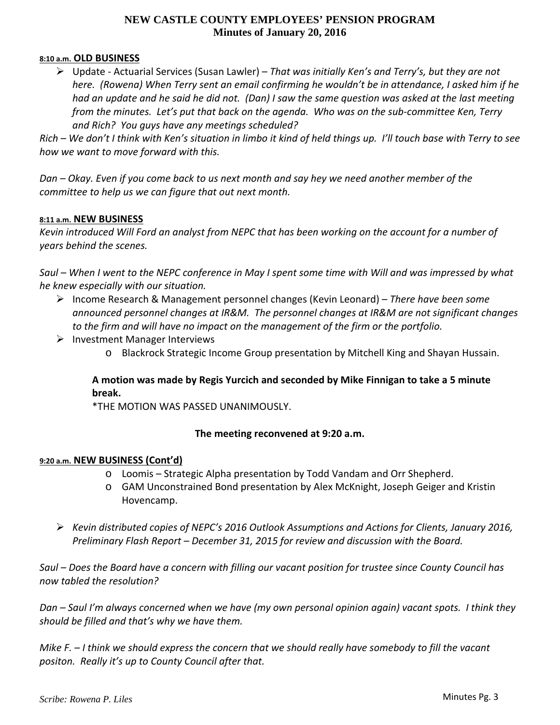#### **8:10 a.m. OLD BUSINESS**

 Update ‐ Actuarial Services (Susan Lawler) – *That was initially Ken's and Terry's, but they are not* here. (Rowena) When Terry sent an email confirming he wouldn't be in attendance, I asked him if he had an update and he said he did not. (Dan) I saw the same question was asked at the last meeting from the minutes. Let's put that back on the agenda. Who was on the sub-committee Ken, Terry *and Rich? You guys have any meetings scheduled?*

Rich – We don't I think with Ken's situation in limbo it kind of held things up. I'll touch base with Terry to see *how we want to move forward with this.*

Dan – Okay. Even if you come back to us next month and say hey we need another member of the *committee to help us we can figure that out next month.*

#### **8:11 a.m. NEW BUSINESS**

Kevin introduced Will Ford an analyst from NEPC that has been working on the account for a number of *years behind the scenes.*

Saul – When I went to the NEPC conference in May I spent some time with Will and was impressed by what *he knew especially with our situation.*

- Income Research & Management personnel changes (Kevin Leonard) *There have been some announced personnel changes at IR&M. The personnel changes at IR&M are not significant changes to the firm and will have no impact on the management of the firm or the portfolio.*
- $\triangleright$  Investment Manager Interviews
	- o Blackrock Strategic Income Group presentation by Mitchell King and Shayan Hussain.

# **A motion was made by Regis Yurcich and seconded by Mike Finnigan to take a 5 minute break.**

\*THE MOTION WAS PASSED UNANIMOUSLY.

## **The meeting reconvened at 9:20 a.m.**

#### **9:20 a.m. NEW BUSINESS (Cont'd)**

- o Loomis Strategic Alpha presentation by Todd Vandam and Orr Shepherd.
- o GAM Unconstrained Bond presentation by Alex McKnight, Joseph Geiger and Kristin Hovencamp.
- *Kevin distributed copies of NEPC's 2016 Outlook Assumptions and Actions for Clients, January 2016, Preliminary Flash Report – December 31, 2015 for review and discussion with the Board.*

Saul – Does the Board have a concern with filling our vacant position for trustee since County Council has *now tabled the resolution?* 

Dan – Saul I'm always concerned when we have (my own personal opinion again) vacant spots. I think they *should be filled and that's why we have them.*

Mike  $F - I$  think we should express the concern that we should really have somebody to fill the vacant *positon. Really it's up to County Council after that.*